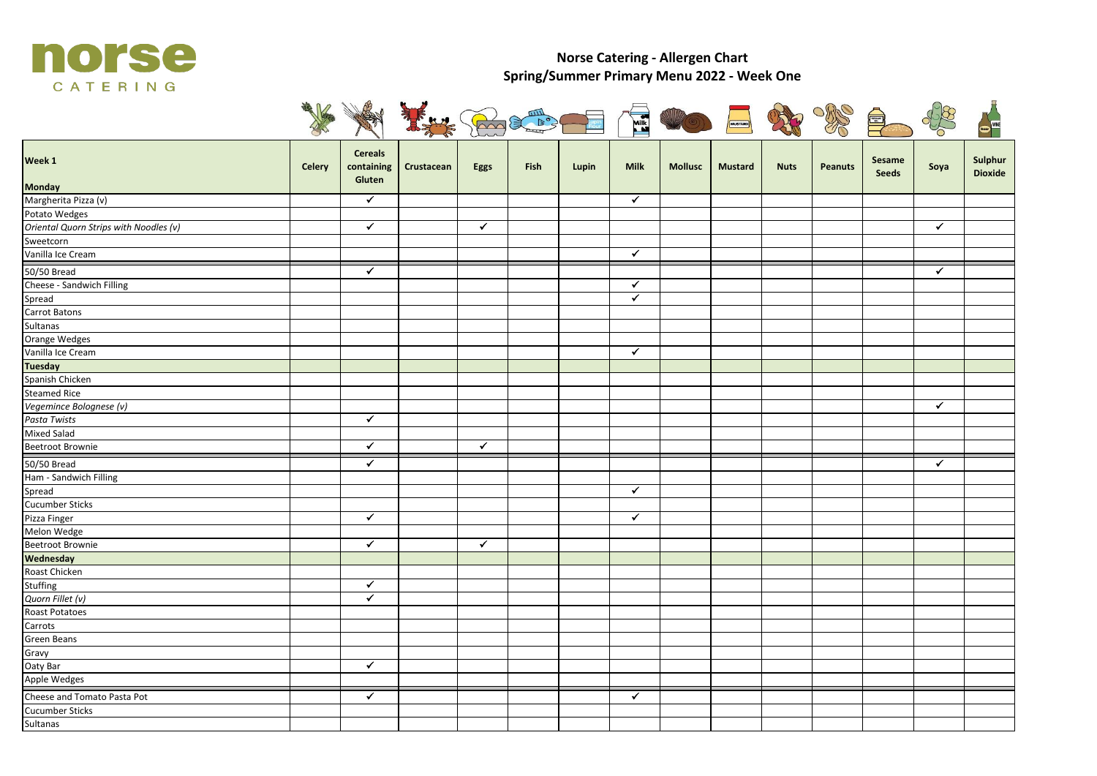

## **Norse Catering - Allergen Chart Spring/Summer Primary Menu 2022 - Week One**



| Week 1                                      | Celery | <b>Cereals</b><br>containing<br>Gluten | Crustacean | Eggs         | Fish | Lupin | <b>Milk</b>             | <b>Mollusc</b> | <b>Mustard</b> | <b>Nuts</b> | <b>Peanuts</b> | Sesame<br><b>Seeds</b> | Soya         | Sulphur<br><b>Dioxide</b> |
|---------------------------------------------|--------|----------------------------------------|------------|--------------|------|-------|-------------------------|----------------|----------------|-------------|----------------|------------------------|--------------|---------------------------|
| <b>Monday</b>                               |        |                                        |            |              |      |       |                         |                |                |             |                |                        |              |                           |
| Margherita Pizza (v)                        |        | $\checkmark$                           |            |              |      |       | $\checkmark$            |                |                |             |                |                        |              |                           |
| Potato Wedges                               |        |                                        |            |              |      |       |                         |                |                |             |                |                        |              |                           |
| Oriental Quorn Strips with Noodles (v)      |        | $\checkmark$                           |            | $\checkmark$ |      |       |                         |                |                |             |                |                        | $\checkmark$ |                           |
| Sweetcorn                                   |        |                                        |            |              |      |       |                         |                |                |             |                |                        |              |                           |
| Vanilla Ice Cream                           |        |                                        |            |              |      |       | $\checkmark$            |                |                |             |                |                        |              |                           |
| 50/50 Bread                                 |        | $\checkmark$                           |            |              |      |       |                         |                |                |             |                |                        | ✔            |                           |
| Cheese - Sandwich Filling                   |        |                                        |            |              |      |       | $\checkmark$            |                |                |             |                |                        |              |                           |
| Spread                                      |        |                                        |            |              |      |       | $\blacktriangledown$    |                |                |             |                |                        |              |                           |
| Carrot Batons                               |        |                                        |            |              |      |       |                         |                |                |             |                |                        |              |                           |
| Sultanas                                    |        |                                        |            |              |      |       |                         |                |                |             |                |                        |              |                           |
| <b>Orange Wedges</b>                        |        |                                        |            |              |      |       |                         |                |                |             |                |                        |              |                           |
| Vanilla Ice Cream                           |        |                                        |            |              |      |       | $\checkmark$            |                |                |             |                |                        |              |                           |
| <b>Tuesday</b>                              |        |                                        |            |              |      |       |                         |                |                |             |                |                        |              |                           |
| Spanish Chicken                             |        |                                        |            |              |      |       |                         |                |                |             |                |                        |              |                           |
| <b>Steamed Rice</b>                         |        |                                        |            |              |      |       |                         |                |                |             |                |                        |              |                           |
| Vegemince Bolognese (v)                     |        |                                        |            |              |      |       |                         |                |                |             |                |                        | $\checkmark$ |                           |
| Pasta Twists                                |        | $\checkmark$                           |            |              |      |       |                         |                |                |             |                |                        |              |                           |
| <b>Mixed Salad</b>                          |        |                                        |            |              |      |       |                         |                |                |             |                |                        |              |                           |
| Beetroot Brownie                            |        | $\checkmark$                           |            | $\checkmark$ |      |       |                         |                |                |             |                |                        |              |                           |
| 50/50 Bread                                 |        | $\checkmark$                           |            |              |      |       |                         |                |                |             |                |                        | $\checkmark$ |                           |
| Ham - Sandwich Filling                      |        |                                        |            |              |      |       |                         |                |                |             |                |                        |              |                           |
| Spread                                      |        |                                        |            |              |      |       | $\overline{\checkmark}$ |                |                |             |                |                        |              |                           |
| <b>Cucumber Sticks</b>                      |        |                                        |            |              |      |       |                         |                |                |             |                |                        |              |                           |
| Pizza Finger                                |        | $\overline{\checkmark}$                |            |              |      |       | $\checkmark$            |                |                |             |                |                        |              |                           |
| Melon Wedge                                 |        |                                        |            |              |      |       |                         |                |                |             |                |                        |              |                           |
| <b>Beetroot Brownie</b>                     |        | $\checkmark$                           |            | $\checkmark$ |      |       |                         |                |                |             |                |                        |              |                           |
| Wednesday                                   |        |                                        |            |              |      |       |                         |                |                |             |                |                        |              |                           |
| Roast Chicken                               |        |                                        |            |              |      |       |                         |                |                |             |                |                        |              |                           |
| Stuffing                                    |        | $\overline{\checkmark}$                |            |              |      |       |                         |                |                |             |                |                        |              |                           |
| Quorn Fillet (v)                            |        | $\checkmark$                           |            |              |      |       |                         |                |                |             |                |                        |              |                           |
| Roast Potatoes                              |        |                                        |            |              |      |       |                         |                |                |             |                |                        |              |                           |
| Carrots                                     |        |                                        |            |              |      |       |                         |                |                |             |                |                        |              |                           |
| Green Beans                                 |        |                                        |            |              |      |       |                         |                |                |             |                |                        |              |                           |
| Gravy                                       |        |                                        |            |              |      |       |                         |                |                |             |                |                        |              |                           |
| Oaty Bar                                    |        | $\checkmark$                           |            |              |      |       |                         |                |                |             |                |                        |              |                           |
| Apple Wedges<br>Cheese and Tomato Pasta Pot |        |                                        |            |              |      |       |                         |                |                |             |                |                        |              |                           |
|                                             |        | $\checkmark$                           |            |              |      |       | $\checkmark$            |                |                |             |                |                        |              |                           |
| Cucumber Sticks                             |        |                                        |            |              |      |       |                         |                |                |             |                |                        |              |                           |
| Sultanas                                    |        |                                        |            |              |      |       |                         |                |                |             |                |                        |              |                           |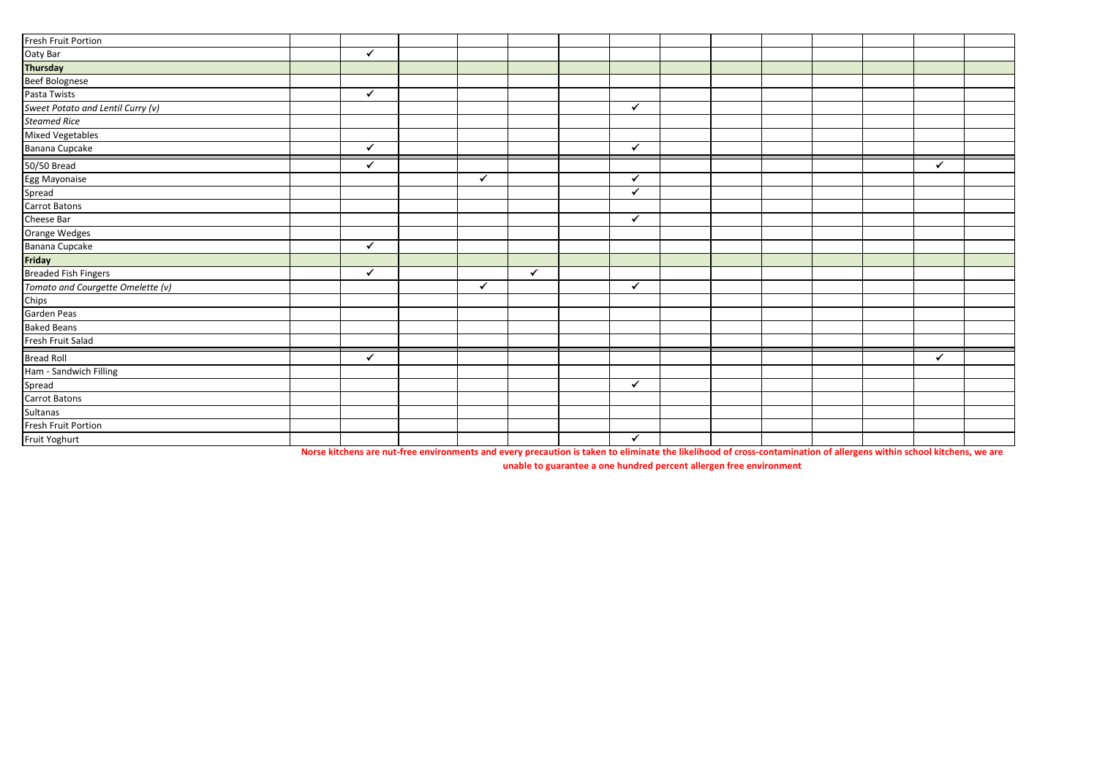| Fresh Fruit Portion               |              |              |              |              |  |  |              |  |
|-----------------------------------|--------------|--------------|--------------|--------------|--|--|--------------|--|
| Oaty Bar                          | $\checkmark$ |              |              |              |  |  |              |  |
| Thursday                          |              |              |              |              |  |  |              |  |
| Beef Bolognese                    |              |              |              |              |  |  |              |  |
| Pasta Twists                      | ✓            |              |              |              |  |  |              |  |
| Sweet Potato and Lentil Curry (v) |              |              |              | ✓            |  |  |              |  |
| <b>Steamed Rice</b>               |              |              |              |              |  |  |              |  |
| <b>Mixed Vegetables</b>           |              |              |              |              |  |  |              |  |
| Banana Cupcake                    | ✓            |              |              | $\checkmark$ |  |  |              |  |
| 50/50 Bread                       | ✓            |              |              |              |  |  | $\checkmark$ |  |
| Egg Mayonaise                     |              | $\checkmark$ |              | ✔            |  |  |              |  |
| Spread                            |              |              |              | $\checkmark$ |  |  |              |  |
| Carrot Batons                     |              |              |              |              |  |  |              |  |
| Cheese Bar                        |              |              |              | $\checkmark$ |  |  |              |  |
| Orange Wedges                     |              |              |              |              |  |  |              |  |
| Banana Cupcake                    | ✓            |              |              |              |  |  |              |  |
| Friday                            |              |              |              |              |  |  |              |  |
| <b>Breaded Fish Fingers</b>       | ✓            |              | $\checkmark$ |              |  |  |              |  |
| Tomato and Courgette Omelette (v) |              | $\checkmark$ |              | $\checkmark$ |  |  |              |  |
| Chips                             |              |              |              |              |  |  |              |  |
| Garden Peas                       |              |              |              |              |  |  |              |  |
| <b>Baked Beans</b>                |              |              |              |              |  |  |              |  |
| Fresh Fruit Salad                 |              |              |              |              |  |  |              |  |
| <b>Bread Roll</b>                 | ✔            |              |              |              |  |  | ✔            |  |
| Ham - Sandwich Filling            |              |              |              |              |  |  |              |  |
| Spread                            |              |              |              | $\checkmark$ |  |  |              |  |
| Carrot Batons                     |              |              |              |              |  |  |              |  |
| Sultanas                          |              |              |              |              |  |  |              |  |
| Fresh Fruit Portion               |              |              |              |              |  |  |              |  |
| Fruit Yoghurt                     |              |              |              | $\checkmark$ |  |  |              |  |

**Norse kitchens are nut-free environments and every precaution is taken to eliminate the likelihood of cross-contamination of allergens within school kitchens, we are** 

**unable to guarantee a one hundred percent allergen free environment**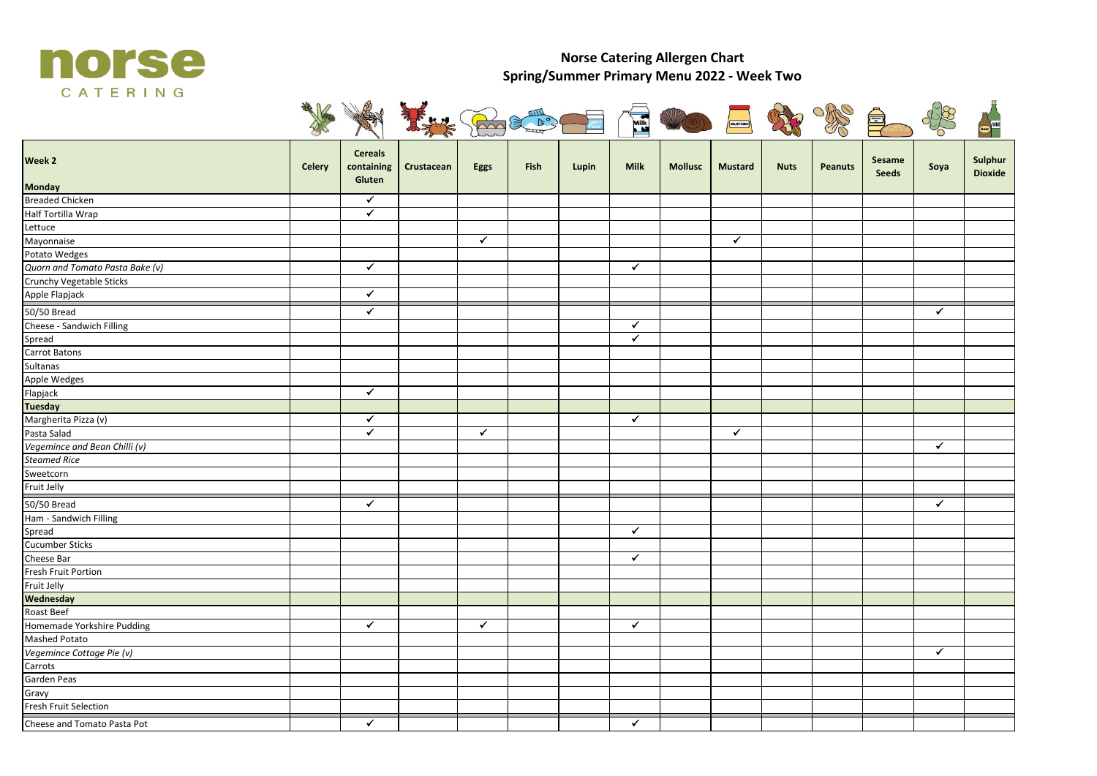

## **Norse Catering Allergen Chart Spring/Summer Primary Menu 2022 - Week Two**



| Week 2                          | Celery | <b>Cereals</b><br>containing<br>Gluten | Crustacean | Eggs         | Fish | Lupin | <b>Milk</b>          | <b>Mollusc</b> | <b>Mustard</b> | <b>Nuts</b> | <b>Peanuts</b> | Sesame<br><b>Seeds</b> | Soya         | Sulphur<br><b>Dioxide</b> |
|---------------------------------|--------|----------------------------------------|------------|--------------|------|-------|----------------------|----------------|----------------|-------------|----------------|------------------------|--------------|---------------------------|
| <b>Monday</b>                   |        |                                        |            |              |      |       |                      |                |                |             |                |                        |              |                           |
| <b>Breaded Chicken</b>          |        | ✔                                      |            |              |      |       |                      |                |                |             |                |                        |              |                           |
| Half Tortilla Wrap              |        | $\overline{\checkmark}$                |            |              |      |       |                      |                |                |             |                |                        |              |                           |
| Lettuce                         |        |                                        |            |              |      |       |                      |                |                |             |                |                        |              |                           |
| Mayonnaise                      |        |                                        |            | $\checkmark$ |      |       |                      |                | $\checkmark$   |             |                |                        |              |                           |
| Potato Wedges                   |        |                                        |            |              |      |       |                      |                |                |             |                |                        |              |                           |
| Quorn and Tomato Pasta Bake (v) |        | $\checkmark$                           |            |              |      |       | $\checkmark$         |                |                |             |                |                        |              |                           |
| Crunchy Vegetable Sticks        |        |                                        |            |              |      |       |                      |                |                |             |                |                        |              |                           |
| Apple Flapjack                  |        | $\blacktriangledown$                   |            |              |      |       |                      |                |                |             |                |                        |              |                           |
| 50/50 Bread                     |        | $\checkmark$                           |            |              |      |       |                      |                |                |             |                |                        | $\checkmark$ |                           |
| Cheese - Sandwich Filling       |        |                                        |            |              |      |       | $\blacktriangledown$ |                |                |             |                |                        |              |                           |
| Spread                          |        |                                        |            |              |      |       | $\checkmark$         |                |                |             |                |                        |              |                           |
| Carrot Batons                   |        |                                        |            |              |      |       |                      |                |                |             |                |                        |              |                           |
| Sultanas                        |        |                                        |            |              |      |       |                      |                |                |             |                |                        |              |                           |
| Apple Wedges                    |        |                                        |            |              |      |       |                      |                |                |             |                |                        |              |                           |
| Flapjack                        |        | $\blacktriangledown$                   |            |              |      |       |                      |                |                |             |                |                        |              |                           |
| <b>Tuesday</b>                  |        |                                        |            |              |      |       |                      |                |                |             |                |                        |              |                           |
| Margherita Pizza (v)            |        | $\checkmark$                           |            |              |      |       | $\checkmark$         |                |                |             |                |                        |              |                           |
| Pasta Salad                     |        | $\overline{\checkmark}$                |            | $\checkmark$ |      |       |                      |                | $\checkmark$   |             |                |                        |              |                           |
| Vegemince and Bean Chilli (v)   |        |                                        |            |              |      |       |                      |                |                |             |                |                        | ✔            |                           |
| <b>Steamed Rice</b>             |        |                                        |            |              |      |       |                      |                |                |             |                |                        |              |                           |
| Sweetcorn                       |        |                                        |            |              |      |       |                      |                |                |             |                |                        |              |                           |
| Fruit Jelly                     |        |                                        |            |              |      |       |                      |                |                |             |                |                        |              |                           |
| 50/50 Bread                     |        | $\blacktriangledown$                   |            |              |      |       |                      |                |                |             |                |                        | $\checkmark$ |                           |
| Ham - Sandwich Filling          |        |                                        |            |              |      |       |                      |                |                |             |                |                        |              |                           |
| Spread                          |        |                                        |            |              |      |       | $\checkmark$         |                |                |             |                |                        |              |                           |
| <b>Cucumber Sticks</b>          |        |                                        |            |              |      |       |                      |                |                |             |                |                        |              |                           |
| Cheese Bar                      |        |                                        |            |              |      |       | $\checkmark$         |                |                |             |                |                        |              |                           |
| Fresh Fruit Portion             |        |                                        |            |              |      |       |                      |                |                |             |                |                        |              |                           |
| Fruit Jelly                     |        |                                        |            |              |      |       |                      |                |                |             |                |                        |              |                           |
| Wednesday                       |        |                                        |            |              |      |       |                      |                |                |             |                |                        |              |                           |
| Roast Beef                      |        |                                        |            |              |      |       |                      |                |                |             |                |                        |              |                           |
| Homemade Yorkshire Pudding      |        | $\checkmark$                           |            | $\checkmark$ |      |       | $\checkmark$         |                |                |             |                |                        |              |                           |
| <b>Mashed Potato</b>            |        |                                        |            |              |      |       |                      |                |                |             |                |                        |              |                           |
| Vegemince Cottage Pie (v)       |        |                                        |            |              |      |       |                      |                |                |             |                |                        | $\checkmark$ |                           |
| Carrots                         |        |                                        |            |              |      |       |                      |                |                |             |                |                        |              |                           |
| Garden Peas                     |        |                                        |            |              |      |       |                      |                |                |             |                |                        |              |                           |
| Gravy                           |        |                                        |            |              |      |       |                      |                |                |             |                |                        |              |                           |
| Fresh Fruit Selection           |        |                                        |            |              |      |       |                      |                |                |             |                |                        |              |                           |
| Cheese and Tomato Pasta Pot     |        | $\checkmark$                           |            |              |      |       | $\checkmark$         |                |                |             |                |                        |              |                           |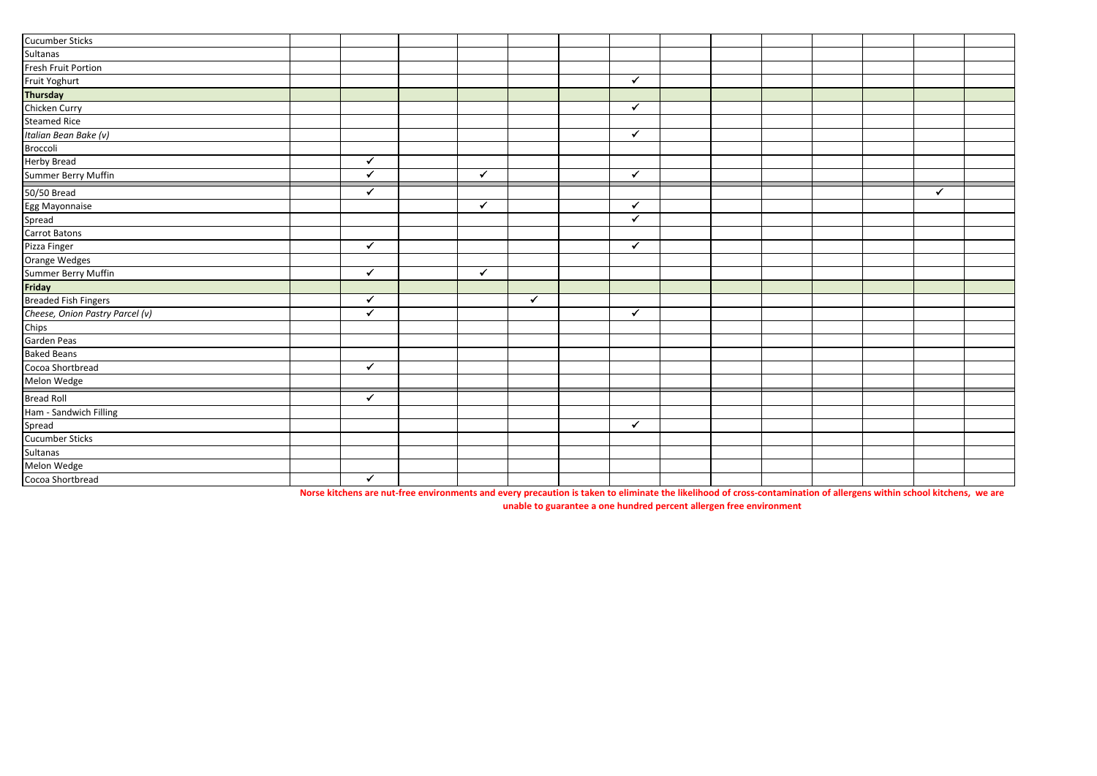| <b>Cucumber Sticks</b>          |                      |              |              |              |  |  |   |  |
|---------------------------------|----------------------|--------------|--------------|--------------|--|--|---|--|
| Sultanas                        |                      |              |              |              |  |  |   |  |
| Fresh Fruit Portion             |                      |              |              |              |  |  |   |  |
| Fruit Yoghurt                   |                      |              |              | $\checkmark$ |  |  |   |  |
| <b>Thursday</b>                 |                      |              |              |              |  |  |   |  |
| Chicken Curry                   |                      |              |              | $\checkmark$ |  |  |   |  |
| <b>Steamed Rice</b>             |                      |              |              |              |  |  |   |  |
| Italian Bean Bake (v)           |                      |              |              | $\checkmark$ |  |  |   |  |
| Broccoli                        |                      |              |              |              |  |  |   |  |
| <b>Herby Bread</b>              | $\checkmark$         |              |              |              |  |  |   |  |
| Summer Berry Muffin             | ✓                    | $\checkmark$ |              | ✓            |  |  |   |  |
| 50/50 Bread                     | ✓                    |              |              |              |  |  | ✓ |  |
| Egg Mayonnaise                  |                      | $\checkmark$ |              | $\checkmark$ |  |  |   |  |
| Spread                          |                      |              |              | $\checkmark$ |  |  |   |  |
| Carrot Batons                   |                      |              |              |              |  |  |   |  |
| Pizza Finger                    | $\blacktriangledown$ |              |              | $\checkmark$ |  |  |   |  |
| Orange Wedges                   |                      |              |              |              |  |  |   |  |
| Summer Berry Muffin             | $\checkmark$         | $\checkmark$ |              |              |  |  |   |  |
| Friday                          |                      |              |              |              |  |  |   |  |
| <b>Breaded Fish Fingers</b>     | $\checkmark$         |              | $\checkmark$ |              |  |  |   |  |
| Cheese, Onion Pastry Parcel (v) | $\checkmark$         |              |              | $\checkmark$ |  |  |   |  |
| Chips                           |                      |              |              |              |  |  |   |  |
| Garden Peas                     |                      |              |              |              |  |  |   |  |
| <b>Baked Beans</b>              |                      |              |              |              |  |  |   |  |
| Cocoa Shortbread                | $\checkmark$         |              |              |              |  |  |   |  |
| Melon Wedge                     |                      |              |              |              |  |  |   |  |
| <b>Bread Roll</b>               | $\checkmark$         |              |              |              |  |  |   |  |
| Ham - Sandwich Filling          |                      |              |              |              |  |  |   |  |
| Spread                          |                      |              |              | $\checkmark$ |  |  |   |  |
| Cucumber Sticks                 |                      |              |              |              |  |  |   |  |
| Sultanas                        |                      |              |              |              |  |  |   |  |
| Melon Wedge                     |                      |              |              |              |  |  |   |  |
| Cocoa Shortbread                | $\checkmark$         |              |              |              |  |  |   |  |

**Norse kitchens are nut-free environments and every precaution is taken to eliminate the likelihood of cross-contamination of allergens within school kitchens, we are** 

**unable to guarantee a one hundred percent allergen free environment**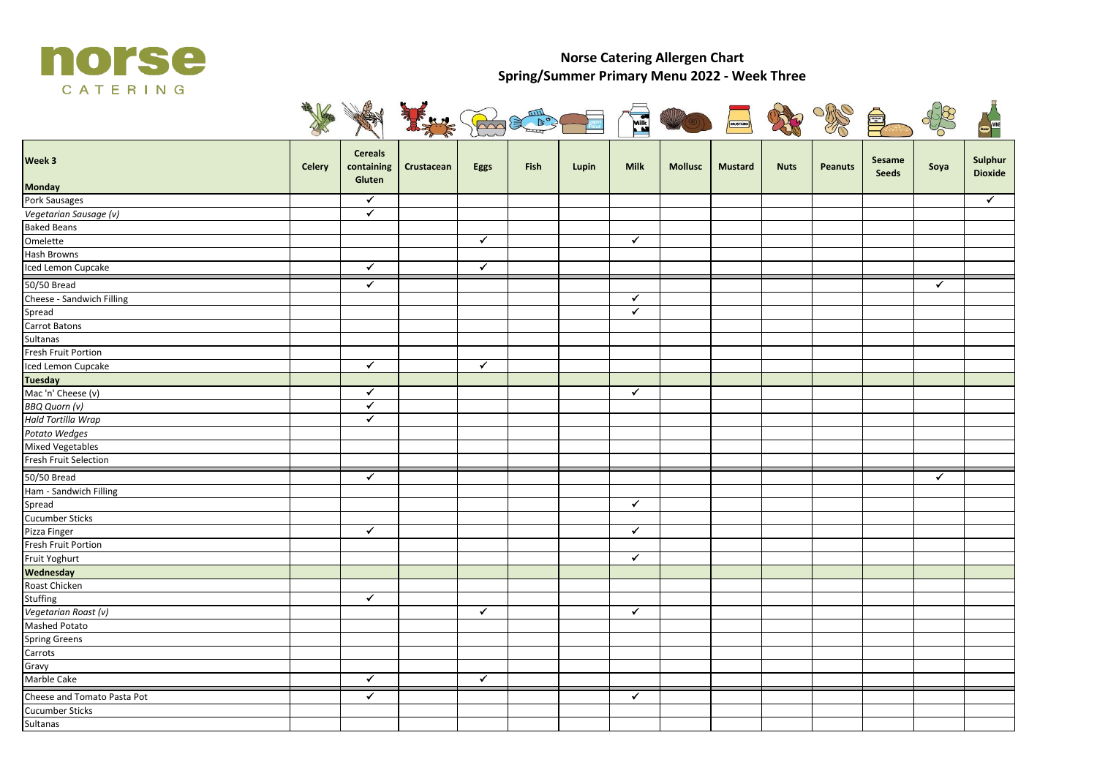

## **Norse Catering Allergen Chart Spring/Summer Primary Menu 2022 - Week Three**



| Week 3                      | Celery | <b>Cereals</b><br>containing<br>Gluten | Crustacean | Eggs         | Fish | Lupin | <b>Milk</b>             | <b>Mollusc</b> | <b>Mustard</b> | <b>Nuts</b> | <b>Peanuts</b> | Sesame<br><b>Seeds</b> | Soya         | Sulphur<br><b>Dioxide</b> |
|-----------------------------|--------|----------------------------------------|------------|--------------|------|-------|-------------------------|----------------|----------------|-------------|----------------|------------------------|--------------|---------------------------|
| <b>Monday</b>               |        |                                        |            |              |      |       |                         |                |                |             |                |                        |              |                           |
| Pork Sausages               |        | $\checkmark$                           |            |              |      |       |                         |                |                |             |                |                        |              | $\checkmark$              |
| Vegetarian Sausage (v)      |        | $\overline{\checkmark}$                |            |              |      |       |                         |                |                |             |                |                        |              |                           |
| <b>Baked Beans</b>          |        |                                        |            |              |      |       |                         |                |                |             |                |                        |              |                           |
| Omelette                    |        |                                        |            | $\checkmark$ |      |       | $\checkmark$            |                |                |             |                |                        |              |                           |
| Hash Browns                 |        |                                        |            |              |      |       |                         |                |                |             |                |                        |              |                           |
| Iced Lemon Cupcake          |        | $\checkmark$                           |            | $\checkmark$ |      |       |                         |                |                |             |                |                        |              |                           |
| 50/50 Bread                 |        | $\overline{\checkmark}$                |            |              |      |       |                         |                |                |             |                |                        | $\checkmark$ |                           |
| Cheese - Sandwich Filling   |        |                                        |            |              |      |       | $\checkmark$            |                |                |             |                |                        |              |                           |
| Spread                      |        |                                        |            |              |      |       | $\overline{\checkmark}$ |                |                |             |                |                        |              |                           |
| Carrot Batons               |        |                                        |            |              |      |       |                         |                |                |             |                |                        |              |                           |
| Sultanas                    |        |                                        |            |              |      |       |                         |                |                |             |                |                        |              |                           |
| Fresh Fruit Portion         |        |                                        |            |              |      |       |                         |                |                |             |                |                        |              |                           |
| Iced Lemon Cupcake          |        | $\blacktriangledown$                   |            | $\checkmark$ |      |       |                         |                |                |             |                |                        |              |                           |
| Tuesday                     |        |                                        |            |              |      |       |                         |                |                |             |                |                        |              |                           |
| Mac 'n' Cheese (v)          |        | $\checkmark$                           |            |              |      |       | $\checkmark$            |                |                |             |                |                        |              |                           |
| <b>BBQ Quorn (v)</b>        |        | $\blacktriangledown$                   |            |              |      |       |                         |                |                |             |                |                        |              |                           |
| Hald Tortilla Wrap          |        | $\overline{\checkmark}$                |            |              |      |       |                         |                |                |             |                |                        |              |                           |
| Potato Wedges               |        |                                        |            |              |      |       |                         |                |                |             |                |                        |              |                           |
| <b>Mixed Vegetables</b>     |        |                                        |            |              |      |       |                         |                |                |             |                |                        |              |                           |
| Fresh Fruit Selection       |        |                                        |            |              |      |       |                         |                |                |             |                |                        |              |                           |
| 50/50 Bread                 |        | $\overline{\checkmark}$                |            |              |      |       |                         |                |                |             |                |                        | $\checkmark$ |                           |
| Ham - Sandwich Filling      |        |                                        |            |              |      |       |                         |                |                |             |                |                        |              |                           |
| Spread                      |        |                                        |            |              |      |       | $\checkmark$            |                |                |             |                |                        |              |                           |
| <b>Cucumber Sticks</b>      |        |                                        |            |              |      |       |                         |                |                |             |                |                        |              |                           |
| Pizza Finger                |        | $\checkmark$                           |            |              |      |       | $\checkmark$            |                |                |             |                |                        |              |                           |
| Fresh Fruit Portion         |        |                                        |            |              |      |       |                         |                |                |             |                |                        |              |                           |
| Fruit Yoghurt               |        |                                        |            |              |      |       | $\checkmark$            |                |                |             |                |                        |              |                           |
| Wednesday                   |        |                                        |            |              |      |       |                         |                |                |             |                |                        |              |                           |
| Roast Chicken               |        |                                        |            |              |      |       |                         |                |                |             |                |                        |              |                           |
| Stuffing                    |        | $\checkmark$                           |            |              |      |       |                         |                |                |             |                |                        |              |                           |
| Vegetarian Roast (v)        |        |                                        |            | $\checkmark$ |      |       | $\blacktriangledown$    |                |                |             |                |                        |              |                           |
| <b>Mashed Potato</b>        |        |                                        |            |              |      |       |                         |                |                |             |                |                        |              |                           |
| <b>Spring Greens</b>        |        |                                        |            |              |      |       |                         |                |                |             |                |                        |              |                           |
| Carrots                     |        |                                        |            |              |      |       |                         |                |                |             |                |                        |              |                           |
| Gravy                       |        |                                        |            |              |      |       |                         |                |                |             |                |                        |              |                           |
| Marble Cake                 |        | $\checkmark$                           |            | $\checkmark$ |      |       |                         |                |                |             |                |                        |              |                           |
| Cheese and Tomato Pasta Pot |        | $\overline{\checkmark}$                |            |              |      |       | $\blacktriangledown$    |                |                |             |                |                        |              |                           |
| <b>Cucumber Sticks</b>      |        |                                        |            |              |      |       |                         |                |                |             |                |                        |              |                           |
| Sultanas                    |        |                                        |            |              |      |       |                         |                |                |             |                |                        |              |                           |